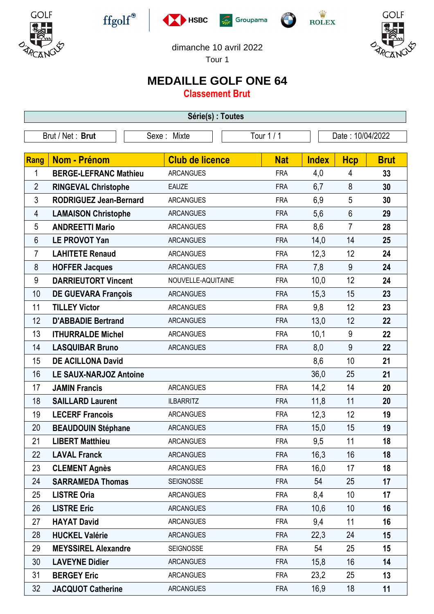











dimanche 10 avril 2022

Tour 1

## **MEDAILLE GOLF ONE 64**

**Classement Brut**

| Série(s) : Toutes |                               |                        |            |              |                  |             |  |  |  |  |
|-------------------|-------------------------------|------------------------|------------|--------------|------------------|-------------|--|--|--|--|
| Brut / Net: Brut  |                               | Sexe: Mixte            | Tour $1/1$ |              | Date: 10/04/2022 |             |  |  |  |  |
|                   |                               |                        |            |              |                  |             |  |  |  |  |
| Rang              | <b>Nom - Prénom</b>           | <b>Club de licence</b> | <b>Nat</b> | <b>Index</b> | <b>Hcp</b>       | <b>Brut</b> |  |  |  |  |
| 1                 | <b>BERGE-LEFRANC Mathieu</b>  | <b>ARCANGUES</b>       | <b>FRA</b> | 4,0          | 4                | 33          |  |  |  |  |
| 2                 | <b>RINGEVAL Christophe</b>    | <b>EAUZE</b>           | <b>FRA</b> | 6,7          | 8                | 30          |  |  |  |  |
| 3                 | <b>RODRIGUEZ Jean-Bernard</b> | <b>ARCANGUES</b>       | <b>FRA</b> | 6,9          | 5                | 30          |  |  |  |  |
| 4                 | <b>LAMAISON Christophe</b>    | <b>ARCANGUES</b>       | <b>FRA</b> | 5,6          | 6                | 29          |  |  |  |  |
| 5                 | <b>ANDREETTI Mario</b>        | <b>ARCANGUES</b>       | <b>FRA</b> | 8,6          | $\overline{7}$   | 28          |  |  |  |  |
| $6\phantom{1}$    | <b>LE PROVOT Yan</b>          | <b>ARCANGUES</b>       | <b>FRA</b> | 14,0         | 14               | 25          |  |  |  |  |
| $\overline{7}$    | <b>LAHITETE Renaud</b>        | <b>ARCANGUES</b>       | <b>FRA</b> | 12,3         | 12               | 24          |  |  |  |  |
| 8                 | <b>HOFFER Jacques</b>         | <b>ARCANGUES</b>       | <b>FRA</b> | 7,8          | 9                | 24          |  |  |  |  |
| 9                 | <b>DARRIEUTORT Vincent</b>    | NOUVELLE-AQUITAINE     | <b>FRA</b> | 10,0         | 12               | 24          |  |  |  |  |
| 10                | <b>DE GUEVARA François</b>    | <b>ARCANGUES</b>       | <b>FRA</b> | 15,3         | 15               | 23          |  |  |  |  |
| 11                | <b>TILLEY Victor</b>          | <b>ARCANGUES</b>       | <b>FRA</b> | 9,8          | 12               | 23          |  |  |  |  |
| 12                | <b>D'ABBADIE Bertrand</b>     | <b>ARCANGUES</b>       | <b>FRA</b> | 13,0         | 12               | 22          |  |  |  |  |
| 13                | <b>ITHURRALDE Michel</b>      | <b>ARCANGUES</b>       | <b>FRA</b> | 10,1         | 9                | 22          |  |  |  |  |
| 14                | <b>LASQUIBAR Bruno</b>        | <b>ARCANGUES</b>       | <b>FRA</b> | 8,0          | 9                | 22          |  |  |  |  |
| 15                | <b>DE ACILLONA David</b>      |                        |            | 8,6          | 10               | 21          |  |  |  |  |
| 16                | <b>LE SAUX-NARJOZ Antoine</b> |                        |            | 36,0         | 25               | 21          |  |  |  |  |
| 17                | <b>JAMIN Francis</b>          | <b>ARCANGUES</b>       | <b>FRA</b> | 14,2         | 14               | 20          |  |  |  |  |
| 18                | <b>SAILLARD Laurent</b>       | <b>ILBARRITZ</b>       | <b>FRA</b> | 11,8         | 11               | 20          |  |  |  |  |
| 19                | <b>LECERF Francois</b>        | <b>ARCANGUES</b>       | <b>FRA</b> | 12,3         | 12               | 19          |  |  |  |  |
| 20                | <b>BEAUDOUIN Stéphane</b>     | <b>ARCANGUES</b>       | <b>FRA</b> | 15,0         | 15               | 19          |  |  |  |  |
| 21                | <b>LIBERT Matthieu</b>        | <b>ARCANGUES</b>       | <b>FRA</b> | 9,5          | 11               | 18          |  |  |  |  |
| 22                | <b>LAVAL Franck</b>           | <b>ARCANGUES</b>       | <b>FRA</b> | 16,3         | 16               | 18          |  |  |  |  |
| 23                | <b>CLEMENT Agnès</b>          | <b>ARCANGUES</b>       | <b>FRA</b> | 16,0         | 17               | 18          |  |  |  |  |
| 24                | <b>SARRAMEDA Thomas</b>       | <b>SEIGNOSSE</b>       | <b>FRA</b> | 54           | 25               | 17          |  |  |  |  |
| 25                | <b>LISTRE Oria</b>            | <b>ARCANGUES</b>       | <b>FRA</b> | 8,4          | 10               | 17          |  |  |  |  |
| 26                | <b>LISTRE Eric</b>            | <b>ARCANGUES</b>       | <b>FRA</b> | 10,6         | 10               | 16          |  |  |  |  |
| 27                | <b>HAYAT David</b>            | <b>ARCANGUES</b>       | <b>FRA</b> | 9,4          | 11               | 16          |  |  |  |  |
| 28                | <b>HUCKEL Valérie</b>         | <b>ARCANGUES</b>       | <b>FRA</b> | 22,3         | 24               | 15          |  |  |  |  |
| 29                | <b>MEYSSIREL Alexandre</b>    | <b>SEIGNOSSE</b>       | <b>FRA</b> | 54           | 25               | 15          |  |  |  |  |
| 30                | <b>LAVEYNE Didier</b>         | <b>ARCANGUES</b>       | <b>FRA</b> | 15,8         | 16               | 14          |  |  |  |  |
| 31                | <b>BERGEY Eric</b>            | <b>ARCANGUES</b>       | <b>FRA</b> | 23,2         | 25               | 13          |  |  |  |  |
| 32                | <b>JACQUOT Catherine</b>      | <b>ARCANGUES</b>       | <b>FRA</b> | 16,9         | 18               | 11          |  |  |  |  |